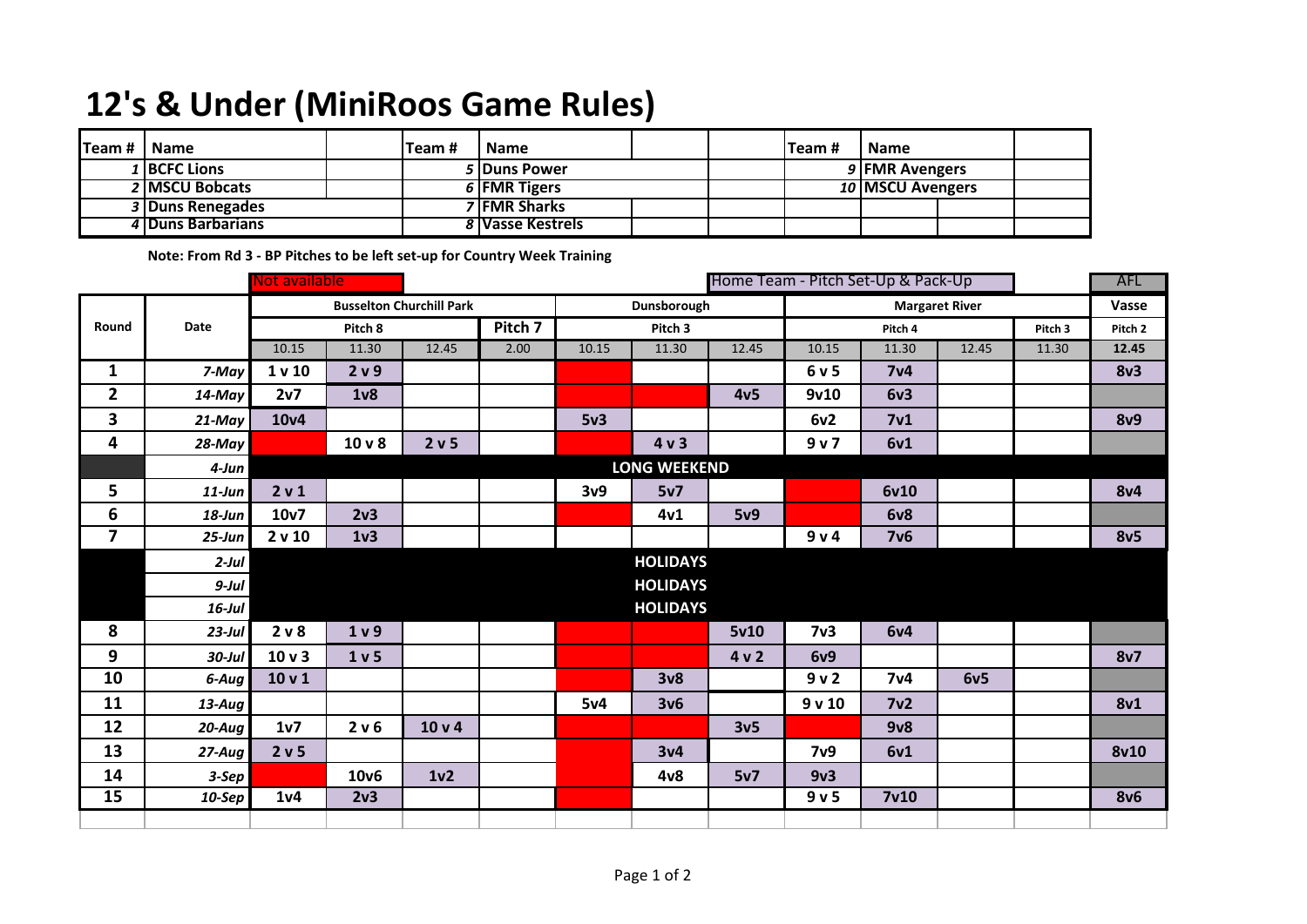## **12's & Under (MiniRoos Game Rules)**

| Team # | I Name            | Team # | l Name              |  |  | Team #         | <b>Name</b>        |  |  |
|--------|-------------------|--------|---------------------|--|--|----------------|--------------------|--|--|
|        | 1 BCFC Lions      |        | 5 Duns Power        |  |  | 9 FMR Avengers |                    |  |  |
|        | 2 MSCU Bobcats    |        | 6 FMR Tigers        |  |  |                | 10   MSCU Avengers |  |  |
|        | 3 Duns Renegades  |        | <b>7 FMR Sharks</b> |  |  |                |                    |  |  |
|        | 4 Duns Barbarians |        | 8 Vasse Kestrels    |  |  |                |                    |  |  |

**Note: From Rd 3 - BP Pitches to be left set-up for Country Week Training**

|                         |            | Not available                   |                  |                 |         |             |                     |                 | Home Team - Pitch Set-Up & Pack-Up |                       |       |         | AFL             |
|-------------------------|------------|---------------------------------|------------------|-----------------|---------|-------------|---------------------|-----------------|------------------------------------|-----------------------|-------|---------|-----------------|
|                         |            | <b>Busselton Churchill Park</b> |                  |                 |         | Dunsborough |                     |                 |                                    | <b>Margaret River</b> |       | Vasse   |                 |
| Round                   | Date       |                                 | Pitch 8          |                 | Pitch 7 |             | Pitch 3             |                 |                                    | Pitch 4               |       | Pitch 3 | Pitch 2         |
|                         |            | 10.15                           | 11.30            | 12.45           | 2.00    | 10.15       | 11.30               | 12.45           | 10.15                              | 11.30                 | 12.45 | 11.30   | 12.45           |
| $\mathbf{1}$            | 7-May      | 1 v 10                          | 2 v 9            |                 |         |             |                     |                 | 6 v 5                              | 7 <sub>v4</sub>       |       |         | 8v3             |
| $\overline{2}$          | $14$ -May  | 2v7                             | 1 <sub>v</sub>   |                 |         |             |                     | 4v <sub>5</sub> | 9v10                               | 6v3                   |       |         |                 |
| 3                       | 21-May     | 10 <sub>v4</sub>                |                  |                 |         | 5v3         |                     |                 | 6v2                                | 7 <sub>v1</sub>       |       |         | <b>8v9</b>      |
| 4                       | 28-May     |                                 | $10v$ 8          | 2 v 5           |         |             | 4v3                 |                 | 9v7                                | 6v1                   |       |         |                 |
|                         | $4$ -Jun   |                                 |                  |                 |         |             | <b>LONG WEEKEND</b> |                 |                                    |                       |       |         |                 |
| 5                       | $11$ -Jun  | 2 v 1                           |                  |                 |         | 3v9         | 5v7                 |                 |                                    | 6v10                  |       |         | 8v4             |
| 6                       | $18$ -Jun  | 10v7                            | 2v3              |                 |         |             | 4v1                 | 5v9             |                                    | <b>6v8</b>            |       |         |                 |
| $\overline{\mathbf{z}}$ | $25 - Jun$ | 2 v 10                          | 1 <sub>v</sub> 3 |                 |         |             |                     |                 | 9 v 4                              | 7v6                   |       |         | 8v <sub>5</sub> |
|                         | $2$ -Jul   |                                 |                  |                 |         |             | <b>HOLIDAYS</b>     |                 |                                    |                       |       |         |                 |
|                         | $9$ -Jul   |                                 |                  |                 |         |             | <b>HOLIDAYS</b>     |                 |                                    |                       |       |         |                 |
|                         | $16$ -Jul  |                                 |                  |                 |         |             | <b>HOLIDAYS</b>     |                 |                                    |                       |       |         |                 |
| 8                       | $23$ -Jul  | 2 <sub>v</sub> 8                | 1 <sub>v</sub> 9 |                 |         |             |                     | 5v10            | 7 <sub>v3</sub>                    | 6v4                   |       |         |                 |
| 9                       | $30$ -Jul  | 10 <sub>v</sub>                 | 1 <sub>v</sub> 5 |                 |         |             |                     | 4v2             | <b>6v9</b>                         |                       |       |         | 8v7             |
| 10                      | 6-Aug      | 10 <sub>v</sub> 1               |                  |                 |         |             | 3v8                 |                 | 9v2                                | 7 <sub>v4</sub>       | 6v5   |         |                 |
| 11                      | $13$ -Aug  |                                 |                  |                 |         | 5v4         | 3v6                 |                 | 9v10                               | 7v <sub>2</sub>       |       |         | 8v1             |
| 12                      | $20$ -Aug  | 1v7                             | 2 v 6            | 10 <sub>v</sub> |         |             |                     | 3v <sub>5</sub> |                                    | 9v8                   |       |         |                 |
| 13                      | $27-Aug$   | 2 v 5                           |                  |                 |         |             | 3v <sub>4</sub>     |                 | 7 <sub>v</sub> 9                   | 6v1                   |       |         | <b>8v10</b>     |
| 14                      | $3-Sep$    |                                 | 10v6             | 1 <sub>v2</sub> |         |             | 4v8                 | 5v7             | 9v3                                |                       |       |         |                 |
| 15                      | $10-$ Sep  | 1 <sub>v</sub> 4                | 2v3              |                 |         |             |                     |                 | 9 <sub>v</sub>                     | 7 <sub>v</sub> 10     |       |         | <b>8v6</b>      |
|                         |            |                                 |                  |                 |         |             |                     |                 |                                    |                       |       |         |                 |